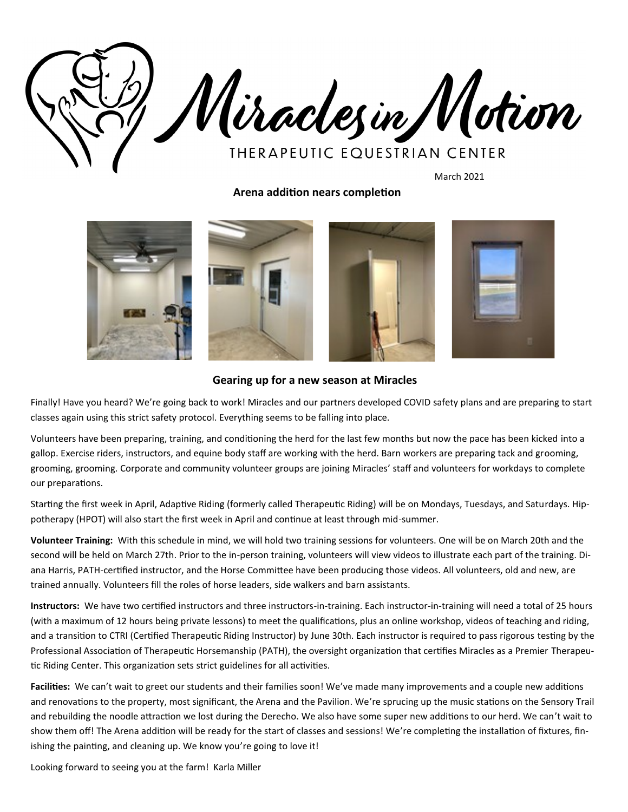

March 2021

**Arena addition nears completion**



## **Gearing up for a new season at Miracles**

Finally! Have you heard? We're going back to work! Miracles and our partners developed COVID safety plans and are preparing to start classes again using this strict safety protocol. Everything seems to be falling into place.

Volunteers have been preparing, training, and conditioning the herd for the last few months but now the pace has been kicked into a gallop. Exercise riders, instructors, and equine body staff are working with the herd. Barn workers are preparing tack and grooming, grooming, grooming. Corporate and community volunteer groups are joining Miracles' staff and volunteers for workdays to complete our preparations.

Starting the first week in April, Adaptive Riding (formerly called Therapeutic Riding) will be on Mondays, Tuesdays, and Saturdays. Hippotherapy (HPOT) will also start the first week in April and continue at least through mid-summer.

**Volunteer Training:** With this schedule in mind, we will hold two training sessions for volunteers. One will be on March 20th and the second will be held on March 27th. Prior to the in-person training, volunteers will view videos to illustrate each part of the training. Diana Harris, PATH-certified instructor, and the Horse Committee have been producing those videos. All volunteers, old and new, are trained annually. Volunteers fill the roles of horse leaders, side walkers and barn assistants.

**Instructors:** We have two certified instructors and three instructors-in-training. Each instructor-in-training will need a total of 25 hours (with a maximum of 12 hours being private lessons) to meet the qualifications, plus an online workshop, videos of teaching and riding, and a transition to CTRI (Certified Therapeutic Riding Instructor) by June 30th. Each instructor is required to pass rigorous testing by the Professional Association of Therapeutic Horsemanship (PATH), the oversight organization that certifies Miracles as a Premier Therapeutic Riding Center. This organization sets strict guidelines for all activities.

Facilities: We can't wait to greet our students and their families soon! We've made many improvements and a couple new additions and renovations to the property, most significant, the Arena and the Pavilion. We're sprucing up the music stations on the Sensory Trail and rebuilding the noodle attraction we lost during the Derecho. We also have some super new additions to our herd. We can't wait to show them off! The Arena addition will be ready for the start of classes and sessions! We're completing the installation of fixtures, finishing the painting, and cleaning up. We know you're going to love it!

Looking forward to seeing you at the farm! Karla Miller